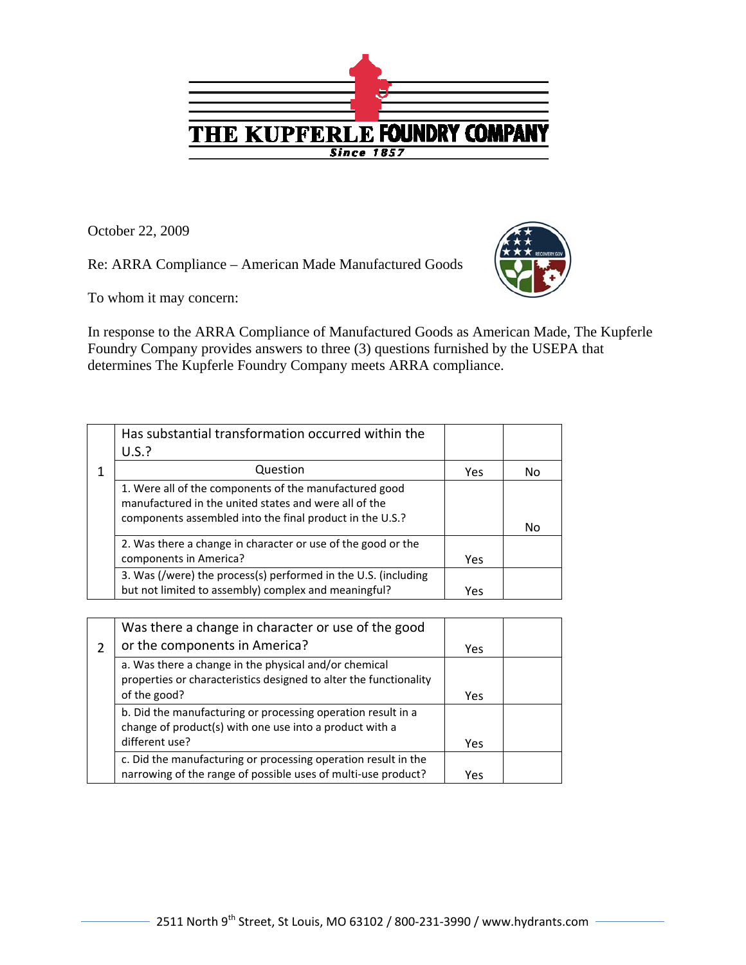

October 22, 2009

Re: ARRA Compliance – American Made Manufactured Goods



To whom it may concern:

In response to the ARRA Compliance of Manufactured Goods as American Made, The Kupferle Foundry Company provides answers to three (3) questions furnished by the USEPA that determines The Kupferle Foundry Company meets ARRA compliance.

| Has substantial transformation occurred within the                                                              |     |    |
|-----------------------------------------------------------------------------------------------------------------|-----|----|
| U.S.?                                                                                                           |     |    |
| Question                                                                                                        | Yes | No |
| 1. Were all of the components of the manufactured good<br>manufactured in the united states and were all of the |     |    |
| components assembled into the final product in the U.S.?                                                        |     | No |
| 2. Was there a change in character or use of the good or the                                                    |     |    |
| components in America?                                                                                          | Yes |    |
| 3. Was (/were) the process(s) performed in the U.S. (including                                                  |     |    |
| but not limited to assembly) complex and meaningful?                                                            | Yes |    |

| Was there a change in character or use of the good                |      |  |
|-------------------------------------------------------------------|------|--|
| or the components in America?                                     | Yes. |  |
| a. Was there a change in the physical and/or chemical             |      |  |
| properties or characteristics designed to alter the functionality |      |  |
| of the good?                                                      | Yes  |  |
| b. Did the manufacturing or processing operation result in a      |      |  |
| change of product(s) with one use into a product with a           |      |  |
| different use?                                                    | Yes  |  |
| c. Did the manufacturing or processing operation result in the    |      |  |
| narrowing of the range of possible uses of multi-use product?     | Yes  |  |